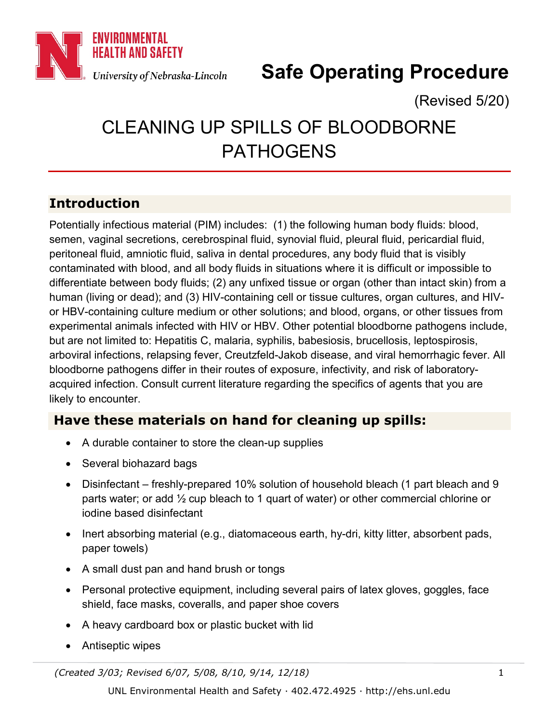

# **Safe Operating Procedure**

(Revised 5/20)

# CLEANING UP SPILLS OF BLOODBORNE PATHOGENS

# **Introduction**

Potentially infectious material (PIM) includes: (1) the following human body fluids: blood, semen, vaginal secretions, cerebrospinal fluid, synovial fluid, pleural fluid, pericardial fluid, peritoneal fluid, amniotic fluid, saliva in dental procedures, any body fluid that is visibly contaminated with blood, and all body fluids in situations where it is difficult or impossible to differentiate between body fluids; (2) any unfixed tissue or organ (other than intact skin) from a human (living or dead); and (3) HIV-containing cell or tissue cultures, organ cultures, and HIVor HBV-containing culture medium or other solutions; and blood, organs, or other tissues from experimental animals infected with HIV or HBV. Other potential bloodborne pathogens include, but are not limited to: Hepatitis C, malaria, syphilis, babesiosis, brucellosis, leptospirosis, arboviral infections, relapsing fever, Creutzfeld-Jakob disease, and viral hemorrhagic fever. All bloodborne pathogens differ in their routes of exposure, infectivity, and risk of laboratoryacquired infection. Consult current literature regarding the specifics of agents that you are likely to encounter.

### **Have these materials on hand for cleaning up spills:**

- A durable container to store the clean-up supplies
- Several biohazard bags
- Disinfectant freshly-prepared 10% solution of household bleach (1 part bleach and 9 parts water; or add ½ cup bleach to 1 quart of water) or other commercial chlorine or iodine based disinfectant
- Inert absorbing material (e.g., diatomaceous earth, hy-dri, kitty litter, absorbent pads, paper towels)
- A small dust pan and hand brush or tongs
- Personal protective equipment, including several pairs of latex gloves, goggles, face shield, face masks, coveralls, and paper shoe covers
- A heavy cardboard box or plastic bucket with lid
- Antiseptic wipes

*(Created 3/03; Revised 6/07, 5/08, 8/10, 9/14, 12/18)* 1

UNL Environmental Health and Safety · 402.472.4925 · http://ehs.unl.edu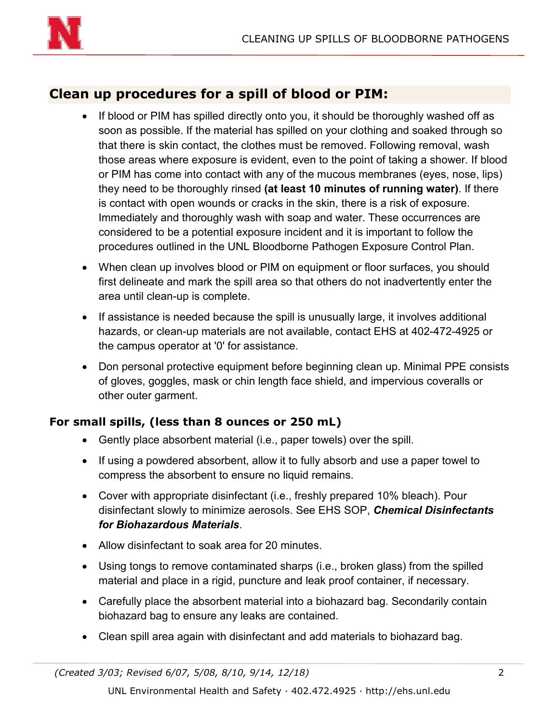

## **Clean up procedures for a spill of blood or PIM:**

- If blood or PIM has spilled directly onto you, it should be thoroughly washed off as soon as possible. If the material has spilled on your clothing and soaked through so that there is skin contact, the clothes must be removed. Following removal, wash those areas where exposure is evident, even to the point of taking a shower. If blood or PIM has come into contact with any of the mucous membranes (eyes, nose, lips) they need to be thoroughly rinsed **(at least 10 minutes of running water)**. If there is contact with open wounds or cracks in the skin, there is a risk of exposure. Immediately and thoroughly wash with soap and water. These occurrences are considered to be a potential exposure incident and it is important to follow the procedures outlined in the UNL Bloodborne Pathogen Exposure Control Plan.
- When clean up involves blood or PIM on equipment or floor surfaces, you should first delineate and mark the spill area so that others do not inadvertently enter the area until clean-up is complete.
- If assistance is needed because the spill is unusually large, it involves additional hazards, or clean-up materials are not available, contact EHS at 402-472-4925 or the campus operator at '0' for assistance.
- Don personal protective equipment before beginning clean up. Minimal PPE consists of gloves, goggles, mask or chin length face shield, and impervious coveralls or other outer garment.

### **For small spills, (less than 8 ounces or 250 mL)**

- Gently place absorbent material (i.e., paper towels) over the spill.
- If using a powdered absorbent, allow it to fully absorb and use a paper towel to compress the absorbent to ensure no liquid remains.
- Cover with appropriate disinfectant (i.e., freshly prepared 10% bleach). Pour disinfectant slowly to minimize aerosols. See EHS SOP, *Chemical Disinfectants for Biohazardous Materials*.
- Allow disinfectant to soak area for 20 minutes.
- Using tongs to remove contaminated sharps (i.e., broken glass) from the spilled material and place in a rigid, puncture and leak proof container, if necessary.
- Carefully place the absorbent material into a biohazard bag. Secondarily contain biohazard bag to ensure any leaks are contained.
- Clean spill area again with disinfectant and add materials to biohazard bag.